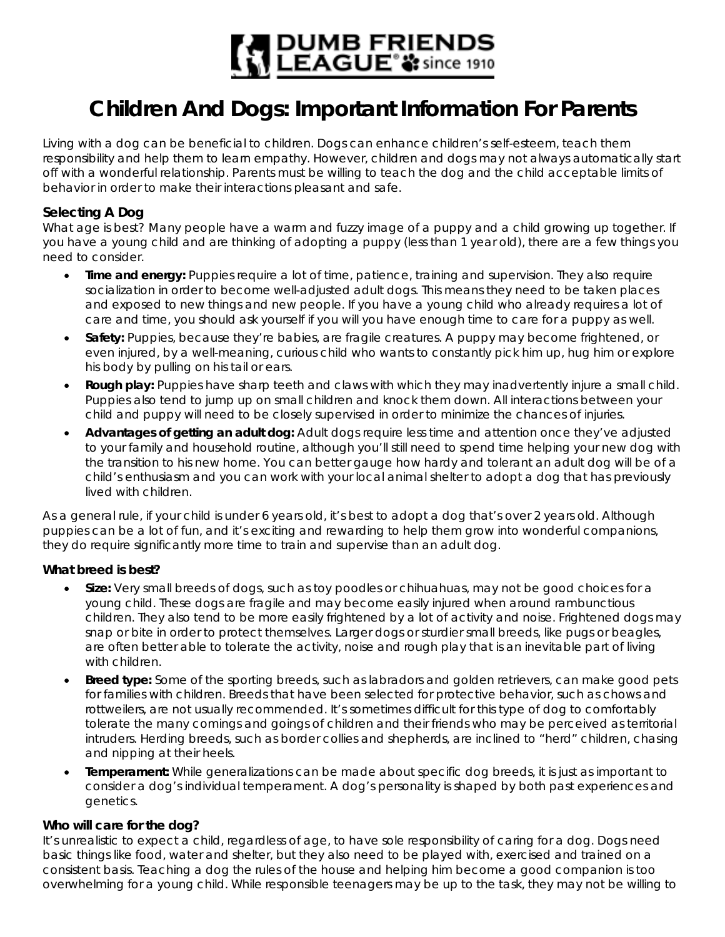

# **Children And Dogs: Important Information For Parents**

Living with a dog can be beneficial to children. Dogs can enhance children's self-esteem, teach them responsibility and help them to learn empathy. However, children and dogs may not always automatically start off with a wonderful relationship. Parents must be willing to teach the dog and the child acceptable limits of behavior in order to make their interactions pleasant and safe.

# **Selecting A Dog**

What age is best? Many people have a warm and fuzzy image of a puppy and a child growing up together. If you have a young child and are thinking of adopting a puppy (less than 1 year old), there are a few things you need to consider.

- **Time and energy:** Puppies require a lot of time, patience, training and supervision. They also require socialization in order to become well-adjusted adult dogs. This means they need to be taken places and exposed to new things and new people. If you have a young child who already requires a lot of care and time, you should ask yourself if you will you have enough time to care for a puppy as well.
- **Safety:** Puppies, because they're babies, are fragile creatures. A puppy may become frightened, or even injured, by a well-meaning, curious child who wants to constantly pick him up, hug him or explore his body by pulling on his tail or ears.
- **Rough play:** Puppies have sharp teeth and claws with which they may inadvertently injure a small child. Puppies also tend to jump up on small children and knock them down. All interactions between your child and puppy will need to be closely supervised in order to minimize the chances of injuries.
- **Advantages of getting an adult dog:** Adult dogs require less time and attention once they've adjusted to your family and household routine, although you'll still need to spend time helping your new dog with the transition to his new home. You can better gauge how hardy and tolerant an adult dog will be of a child's enthusiasm and you can work with your local animal shelter to adopt a dog that has previously lived with children.

As a general rule, if your child is under 6 years old, it's best to adopt a dog that's over 2 years old. Although puppies can be a lot of fun, and it's exciting and rewarding to help them grow into wonderful companions, they do require significantly more time to train and supervise than an adult dog.

## **What breed is best?**

- **Size:** Very small breeds of dogs, such as toy poodles or chihuahuas, may not be good choices for a young child. These dogs are fragile and may become easily injured when around rambunctious children. They also tend to be more easily frightened by a lot of activity and noise. Frightened dogs may snap or bite in order to protect themselves. Larger dogs or sturdier small breeds, like pugs or beagles, are often better able to tolerate the activity, noise and rough play that is an inevitable part of living with children.
- **Breed type:** Some of the sporting breeds, such as labradors and golden retrievers, can make good pets for families with children. Breeds that have been selected for protective behavior, such as chows and rottweilers, are not usually recommended. It's sometimes difficult for this type of dog to comfortably tolerate the many comings and goings of children and their friends who may be perceived as territorial intruders. Herding breeds, such as border collies and shepherds, are inclined to "herd" children, chasing and nipping at their heels.
- **Temperament:** While generalizations can be made about specific dog breeds, it is just as important to consider a dog's individual temperament. A dog's personality is shaped by both past experiences and genetics.

#### **Who will care for the dog?**

It's unrealistic to expect a child, regardless of age, to have sole responsibility of caring for a dog. Dogs need basic things like food, water and shelter, but they also need to be played with, exercised and trained on a consistent basis. Teaching a dog the rules of the house and helping him become a good companion is too overwhelming for a young child. While responsible teenagers may be up to the task, they may not be willing to